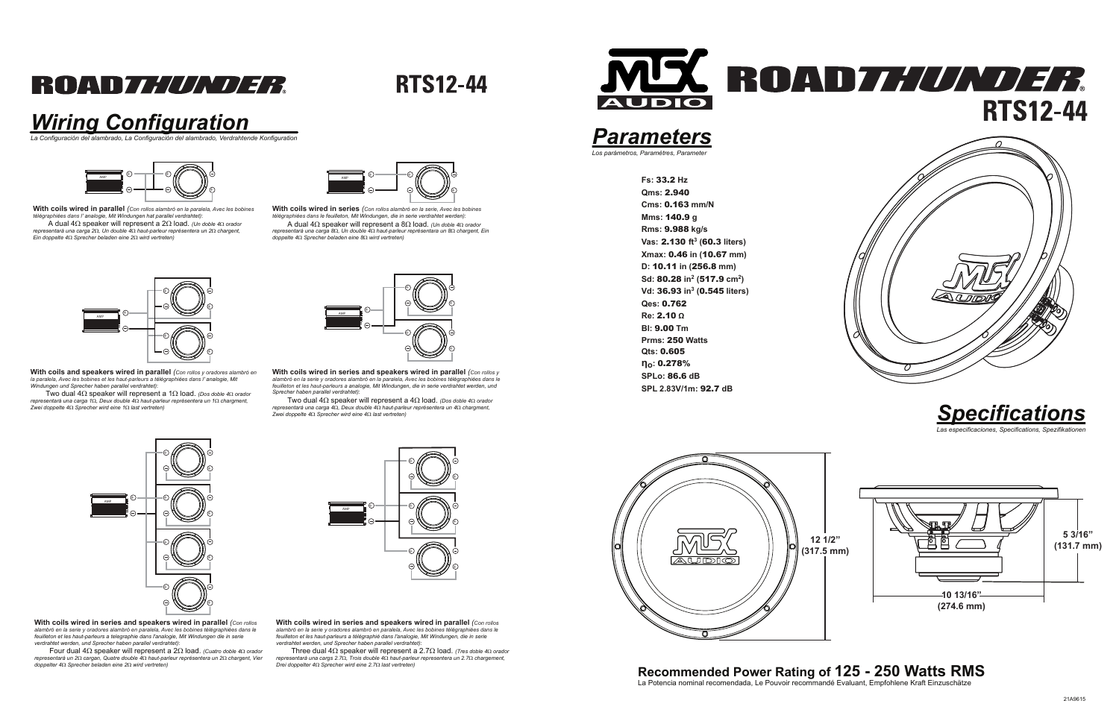## **ROADZ////V/72**

**RTS12-44** 

**Fs:** 33.2 **Hz Qms:** 2.940 **Cms:** 0.163 **mm/NMms:** 140.9 **g Rms:** 9.988 **kg/s Vas:** 2.130 **ft<sup>3</sup> (**60.3 **liters)Xmax:** 0.46 **in (**10.67 **mm)D:** 10.11 **in (**256.8 **mm)Sd:** 80.28 **in<sup>2</sup> (**517.9 **cm<sup>2</sup>)Vd:** 36.93 **in<sup>3</sup> (**0.545 **liters)Qes:** 0.762 **Re:** 2.10 **<sup>Ω</sup> Bl:** 9.00 **Tm Prms:** 250 **WattsQts:** 0.605 **ηo:** 0.278% **SPLo:** 86.6 **dBSPL 2.83V/1m:** 92.7 **dB**

#### *Parameters*

*.*<br>Los parámetros, Paramètres, Parame

## **Recommended Power Rating of 125 - 250 Watts RMS** La Potencia nominal recomendada, Le Pouvoir recommandé Evaluant, Empfohlene Kraft Einzuschätze





#### *Wiring Configuration*

*La Configuración del alambrado, La Configuración del alambrado, Verdrahtende Konfiguration*

**With coils wired in series and speakers wired in parallel** *(Con rollos alambró en la serie y oradores alambró en paralela, Avec les bobines télégraphiées dans le feuilleton et les haut-parleurs a telegraphie dans l'analogie, Mit Windungen die in serie verdrahtet werden, und Sprecher haben parallel verdrahtet)*:

 Four dual 4Ω speaker will represent a 2Ω load. *(Cuatro doble 4*Ω *orador representará un 2*Ω *cargan, Quatre double 4*Ω *haut-parleur représentera un 2*Ω *chargent, Vier doppelter 4*Ω *Sprecher beladen eine 2*Ω *wird vertreten)*



**With coils wired in series and speakers wired in parallel** *(Con rollos alambró en la serie y oradores alambró en paralela, Avec les bobines télégraphiées dans le feuilleton et les haut-parleurs a télégraphié dans l'analogie, Mit Windungen, die in serie verdrahtet werden, und Sprecher haben parallel verdrahtet)*:

 Three dual 4Ω speaker will represent a 2.7Ω load. *(Tres doble 4*Ω *orador representará una cargs 2.7*Ω*, Trois double 4*Ω *haut-parleur representera un 2.7*Ω *chargement, Drei doppelter 4*Ω *Sprecher wird eine 2.7*Ω *last vertreten)*



**With coils and speakers wired in parallel** *(Con rollos y oradores alambró en la paralela, Avec les bobines et les haut-parleurs a télégraphiées dans l' analogie, Mit Windungen und Sprecher haben parallel verdrahtet)*:



 Two dual 4Ω speaker will represent a 1Ω load. *(Dos doble 4*Ω *orador representará una carga 1*Ω*, Deux double 4*Ω *haut-parleur représentera un 1*Ω *chargment, Zwei doppelte 4*Ω *Sprecher wird eine 1*Ω *last vertreten)*



**With coils wired in series and speakers wired in parallel** *(Con rollos y alambró en la serie y oradores alambró en la paralela, Avec les bobines télégraphiées dans le feuilleton et les haut-parleurs a analogie, Mit Windungen, die in serie verdrahtet werden, und Sprecher haben parallel verdrahtet)*:

 Two dual 4Ω speaker will represent a 4Ω load. *(Dos doble 4*Ω *oradorrepresentará una carga 4*Ω*, Deux double 4*Ω *haut-parleur représentera un 4*Ω *chargment,Zwei doppelte 4*Ω *Sprecher wird eine 4*Ω *last vertreten)*





**With coils wired in parallel** *(Con rollos alambró en la paralela, Avec les bobinestélégraphiées dans l' analogie, Mit Windungen hat parallel verdrahtet)*:

A dual 4Ω speaker will represent a 2Ω load. *(Un doble 4*Ω *orador representará una carga 2*Ω*, Un double 4*Ω *haut-parleur représentera un 2*Ω *chargent,Ein doppelte 4*Ω *Sprecher beladen eine 2*Ω *wird vertreten)*



**With coils wired in series** *(Con rollos alambró en la serie, Avec les bobines télégraphiées dans le feuilleton, Mit Windungen, die in serie verdrahtet werden)*: A dual 4Ω speaker will represent a 8Ω load. *(Un doble 4*Ω *orador representará una carga 8*Ω*, Un double 4*Ω *haut-parleur représentara un 8*Ω *chargent, Ein doppelte 4*Ω *Sprecher beladen eine 8*Ω *wird vertreten)*